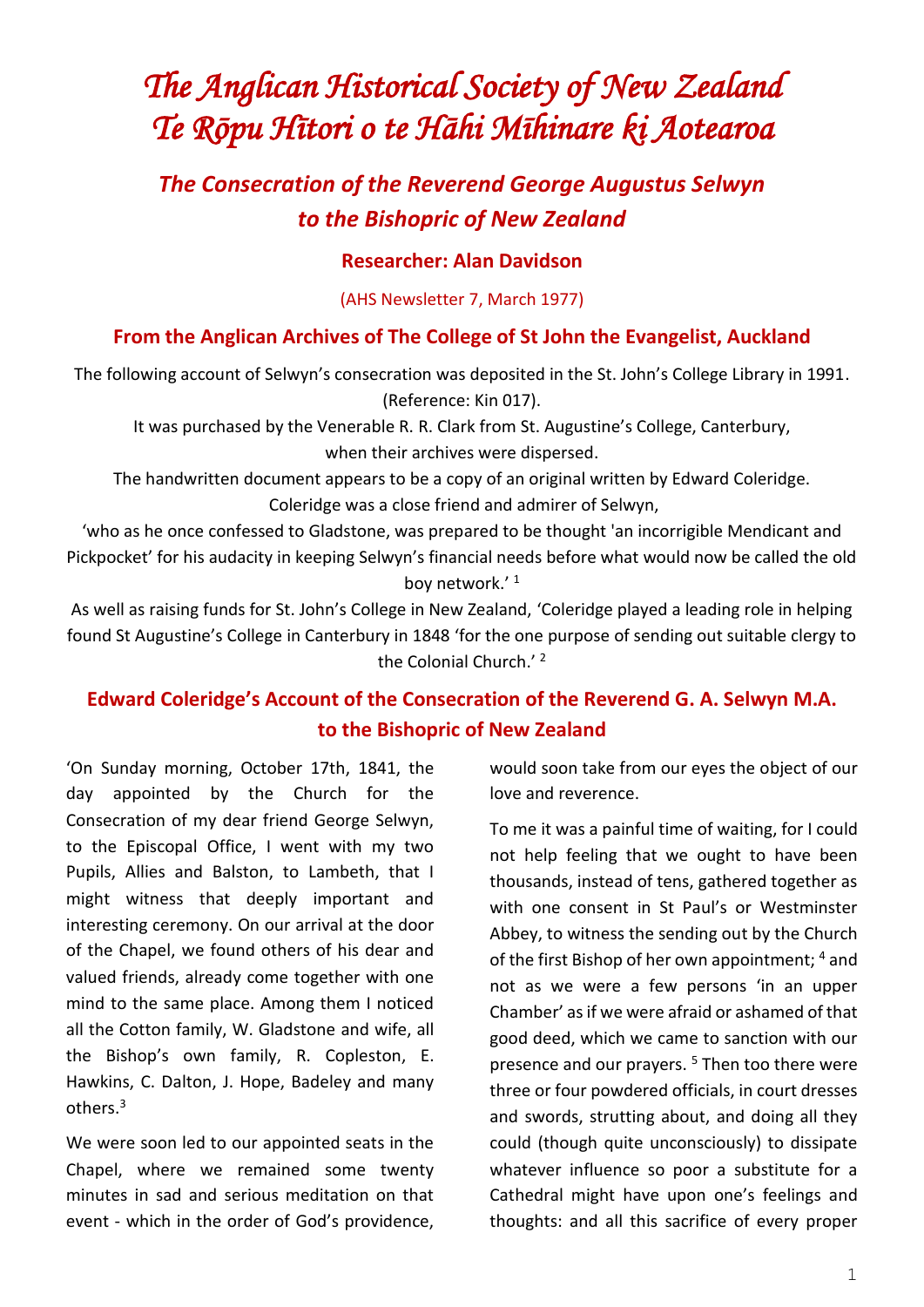# *The Anglican Historical Society of New Zealand Te Rōpu Hītori o te Hāhi Mīhinare ki Aotearoa*

## *The Consecration of the Reverend George Augustus Selwyn to the Bishopric of New Zealand*

#### **Researcher: Alan Davidson**

(AHS Newsletter 7, March 1977)

#### **From the Anglican Archives of The College of St John the Evangelist, Auckland**

The following account of Selwyn's consecration was deposited in the St. John's College Library in 1991. (Reference: Kin 017).

It was purchased by the Venerable R. R. Clark from St. Augustine's College, Canterbury, when their archives were dispersed.

The handwritten document appears to be a copy of an original written by Edward Coleridge. Coleridge was a close friend and admirer of Selwyn,

'who as he once confessed to Gladstone, was prepared to be thought 'an incorrigible Mendicant and Pickpocket' for his audacity in keeping Selwyn's financial needs before what would now be called the old boy network.'<sup>1</sup>

As well as raising funds for St. John's College in New Zealand, 'Coleridge played a leading role in helping found St Augustine's College in Canterbury in 1848 'for the one purpose of sending out suitable clergy to the Colonial Church.'<sup>2</sup>

### **Edward Coleridge's Account of the Consecration of the Reverend G. A. Selwyn M.A. to the Bishopric of New Zealand**

'On Sunday morning, October 17th, 1841, the day appointed by the Church for the Consecration of my dear friend George Selwyn, to the Episcopal Office, I went with my two Pupils, Allies and Balston, to Lambeth, that I might witness that deeply important and interesting ceremony. On our arrival at the door of the Chapel, we found others of his dear and valued friends, already come together with one mind to the same place. Among them I noticed all the Cotton family, W. Gladstone and wife, all the Bishop's own family, R. Copleston, E. Hawkins, C. Dalton, J. Hope, Badeley and many others.<sup>3</sup>

We were soon led to our appointed seats in the Chapel, where we remained some twenty minutes in sad and serious meditation on that event - which in the order of God's providence,

would soon take from our eyes the object of our love and reverence.

To me it was a painful time of waiting, for I could not help feeling that we ought to have been thousands, instead of tens, gathered together as with one consent in St Paul's or Westminster Abbey, to witness the sending out by the Church of the first Bishop of her own appointment; 4 and not as we were a few persons 'in an upper Chamber' as if we were afraid or ashamed of that good deed, which we came to sanction with our presence and our prayers.<sup>5</sup> Then too there were three or four powdered officials, in court dresses and swords, strutting about, and doing all they could (though quite unconsciously) to dissipate whatever influence so poor a substitute for a Cathedral might have upon one's feelings and thoughts: and all this sacrifice of every proper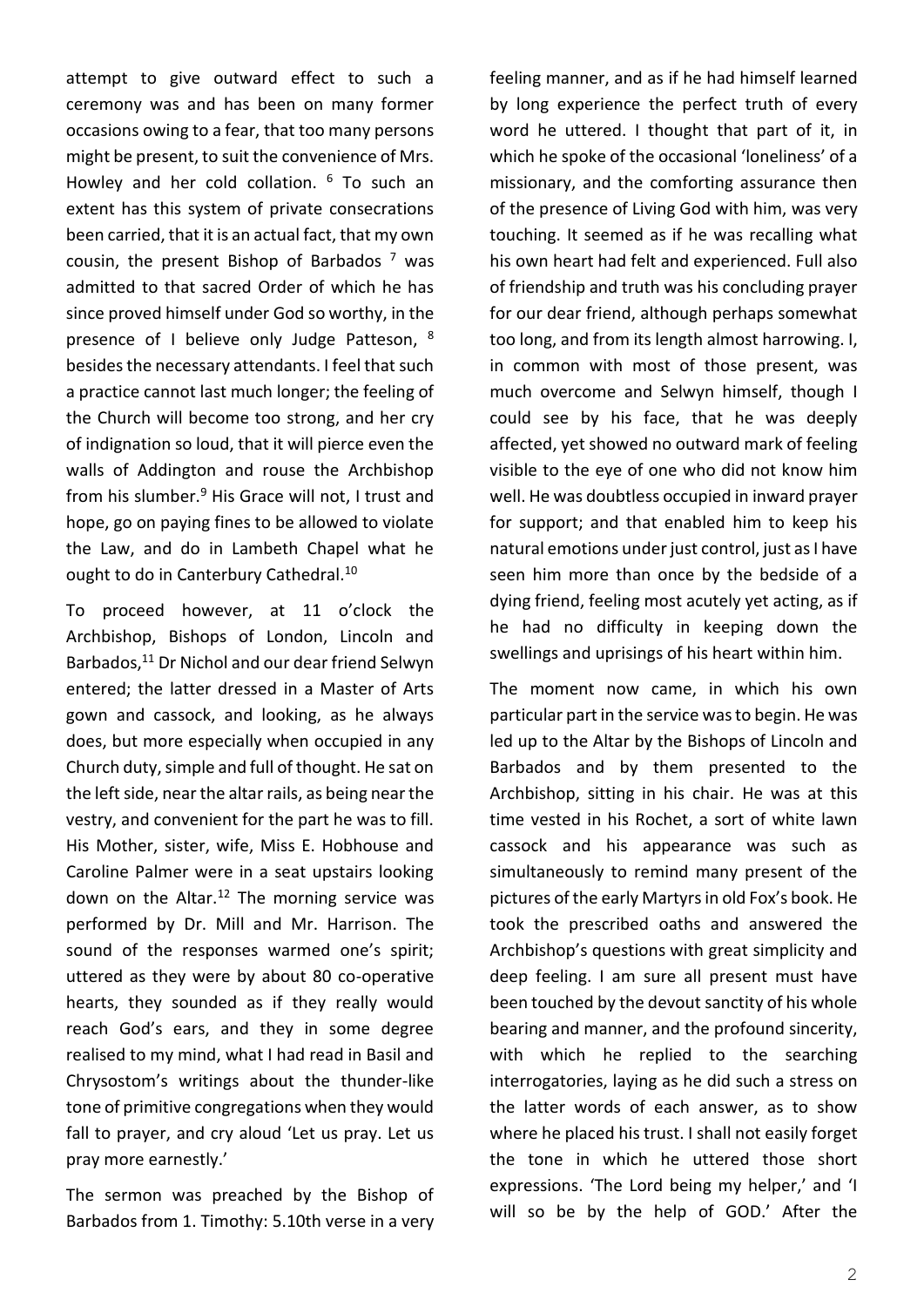attempt to give outward effect to such a ceremony was and has been on many former occasions owing to a fear, that too many persons might be present, to suit the convenience of Mrs. Howley and her cold collation. <sup>6</sup> To such an extent has this system of private consecrations been carried, that it is an actual fact, that my own cousin, the present Bishop of Barbados  $<sup>7</sup>$  was</sup> admitted to that sacred Order of which he has since proved himself under God so worthy, in the presence of I believe only Judge Patteson, <sup>8</sup> besides the necessary attendants. I feel that such a practice cannot last much longer; the feeling of the Church will become too strong, and her cry of indignation so loud, that it will pierce even the walls of Addington and rouse the Archbishop from his slumber.<sup>9</sup> His Grace will not, I trust and hope, go on paying fines to be allowed to violate the Law, and do in Lambeth Chapel what he ought to do in Canterbury Cathedral.<sup>10</sup>

To proceed however, at 11 o'clock the Archbishop, Bishops of London, Lincoln and Barbados,<sup>11</sup> Dr Nichol and our dear friend Selwyn entered; the latter dressed in a Master of Arts gown and cassock, and looking, as he always does, but more especially when occupied in any Church duty, simple and full of thought. He sat on the left side, near the altar rails, as being near the vestry, and convenient for the part he was to fill. His Mother, sister, wife, Miss E. Hobhouse and Caroline Palmer were in a seat upstairs looking down on the Altar.<sup>12</sup> The morning service was performed by Dr. Mill and Mr. Harrison. The sound of the responses warmed one's spirit; uttered as they were by about 80 co-operative hearts, they sounded as if they really would reach God's ears, and they in some degree realised to my mind, what I had read in Basil and Chrysostom's writings about the thunder-like tone of primitive congregations when they would fall to prayer, and cry aloud 'Let us pray. Let us pray more earnestly.'

The sermon was preached by the Bishop of Barbados from 1. Timothy: 5.10th verse in a very feeling manner, and as if he had himself learned by long experience the perfect truth of every word he uttered. I thought that part of it, in which he spoke of the occasional 'loneliness' of a missionary, and the comforting assurance then of the presence of Living God with him, was very touching. It seemed as if he was recalling what his own heart had felt and experienced. Full also of friendship and truth was his concluding prayer for our dear friend, although perhaps somewhat too long, and from its length almost harrowing. I, in common with most of those present, was much overcome and Selwyn himself, though I could see by his face, that he was deeply affected, yet showed no outward mark of feeling visible to the eye of one who did not know him well. He was doubtless occupied in inward prayer for support; and that enabled him to keep his natural emotions under just control, just as I have seen him more than once by the bedside of a dying friend, feeling most acutely yet acting, as if he had no difficulty in keeping down the swellings and uprisings of his heart within him.

The moment now came, in which his own particular part in the service was to begin. He was led up to the Altar by the Bishops of Lincoln and Barbados and by them presented to the Archbishop, sitting in his chair. He was at this time vested in his Rochet, a sort of white lawn cassock and his appearance was such as simultaneously to remind many present of the pictures of the early Martyrs in old Fox's book. He took the prescribed oaths and answered the Archbishop's questions with great simplicity and deep feeling. I am sure all present must have been touched by the devout sanctity of his whole bearing and manner, and the profound sincerity, with which he replied to the searching interrogatories, laying as he did such a stress on the latter words of each answer, as to show where he placed his trust. I shall not easily forget the tone in which he uttered those short expressions. 'The Lord being my helper,' and 'I will so be by the help of GOD.' After the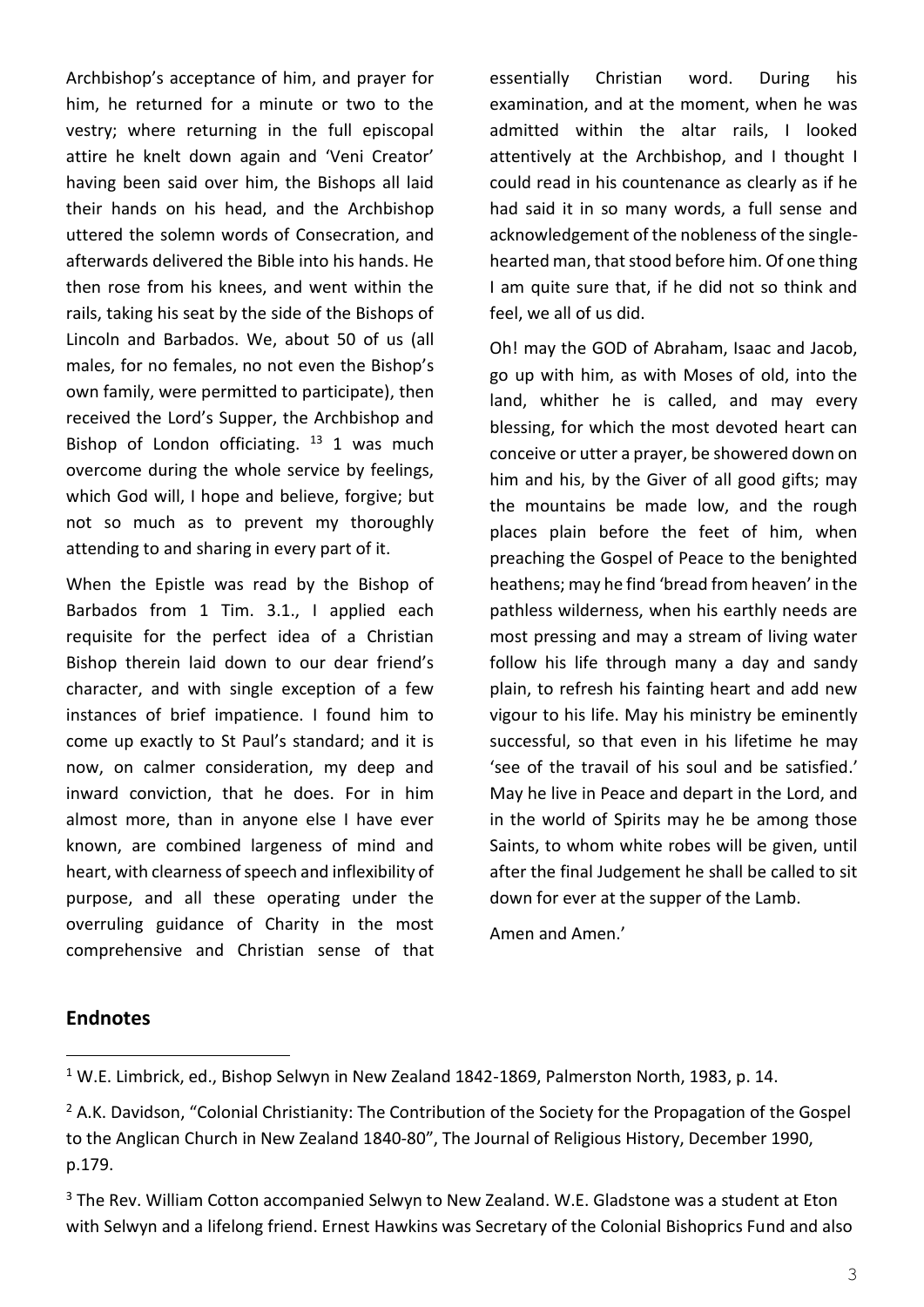Archbishop's acceptance of him, and prayer for him, he returned for a minute or two to the vestry; where returning in the full episcopal attire he knelt down again and 'Veni Creator' having been said over him, the Bishops all laid their hands on his head, and the Archbishop uttered the solemn words of Consecration, and afterwards delivered the Bible into his hands. He then rose from his knees, and went within the rails, taking his seat by the side of the Bishops of Lincoln and Barbados. We, about 50 of us (all males, for no females, no not even the Bishop's own family, were permitted to participate), then received the Lord's Supper, the Archbishop and Bishop of London officiating.  $13$  1 was much overcome during the whole service by feelings, which God will, I hope and believe, forgive; but not so much as to prevent my thoroughly attending to and sharing in every part of it.

When the Epistle was read by the Bishop of Barbados from 1 Tim. 3.1., I applied each requisite for the perfect idea of a Christian Bishop therein laid down to our dear friend's character, and with single exception of a few instances of brief impatience. I found him to come up exactly to St Paul's standard; and it is now, on calmer consideration, my deep and inward conviction, that he does. For in him almost more, than in anyone else I have ever known, are combined largeness of mind and heart, with clearness of speech and inflexibility of purpose, and all these operating under the overruling guidance of Charity in the most comprehensive and Christian sense of that essentially Christian word. During his examination, and at the moment, when he was admitted within the altar rails, I looked attentively at the Archbishop, and I thought I could read in his countenance as clearly as if he had said it in so many words, a full sense and acknowledgement of the nobleness of the singlehearted man, that stood before him. Of one thing I am quite sure that, if he did not so think and feel, we all of us did.

Oh! may the GOD of Abraham, Isaac and Jacob, go up with him, as with Moses of old, into the land, whither he is called, and may every blessing, for which the most devoted heart can conceive or utter a prayer, be showered down on him and his, by the Giver of all good gifts; may the mountains be made low, and the rough places plain before the feet of him, when preaching the Gospel of Peace to the benighted heathens; may he find 'bread from heaven' in the pathless wilderness, when his earthly needs are most pressing and may a stream of living water follow his life through many a day and sandy plain, to refresh his fainting heart and add new vigour to his life. May his ministry be eminently successful, so that even in his lifetime he may 'see of the travail of his soul and be satisfied.' May he live in Peace and depart in the Lord, and in the world of Spirits may he be among those Saints, to whom white robes will be given, until after the final Judgement he shall be called to sit down for ever at the supper of the Lamb.

Amen and Amen.'

#### **Endnotes**

<sup>1</sup> W.E. Limbrick, ed., Bishop Selwyn in New Zealand 1842-1869, Palmerston North, 1983, p. 14.

<sup>&</sup>lt;sup>2</sup> A.K. Davidson, "Colonial Christianity: The Contribution of the Society for the Propagation of the Gospel to the Anglican Church in New Zealand 1840-80", The Journal of Religious History, December 1990, p.179.

<sup>&</sup>lt;sup>3</sup> The Rev. William Cotton accompanied Selwyn to New Zealand. W.E. Gladstone was a student at Eton with Selwyn and a lifelong friend. Ernest Hawkins was Secretary of the Colonial Bishoprics Fund and also